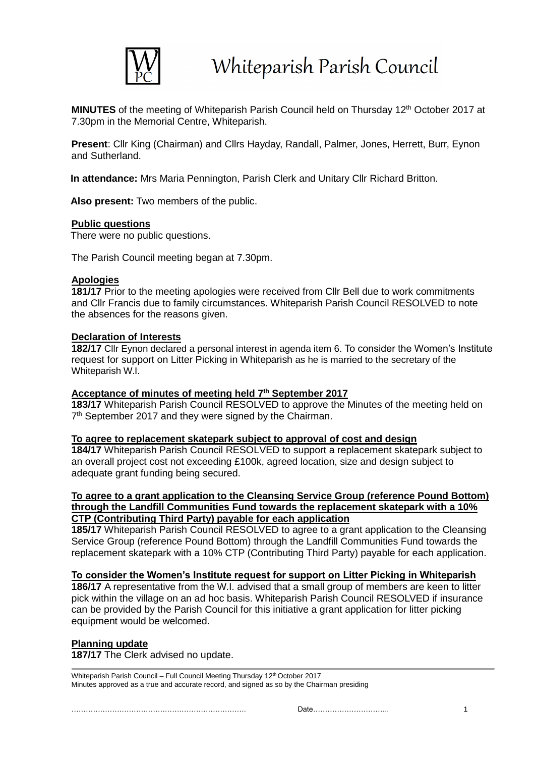

**MINUTES** of the meeting of Whiteparish Parish Council held on Thursday 12<sup>th</sup> October 2017 at 7.30pm in the Memorial Centre, Whiteparish.

**Present**: Cllr King (Chairman) and Cllrs Hayday, Randall, Palmer, Jones, Herrett, Burr, Eynon and Sutherland.

**In attendance:** Mrs Maria Pennington, Parish Clerk and Unitary Cllr Richard Britton.

**Also present:** Two members of the public.

### **Public questions**

There were no public questions.

The Parish Council meeting began at 7.30pm.

# **Apologies**

**181/17** Prior to the meeting apologies were received from Cllr Bell due to work commitments and Cllr Francis due to family circumstances. Whiteparish Parish Council RESOLVED to note the absences for the reasons given.

# **Declaration of Interests**

**182/17** Cllr Eynon declared a personal interest in agenda item 6. To consider the Women's Institute request for support on Litter Picking in Whiteparish as he is married to the secretary of the Whiteparish W.I.

# **Acceptance of minutes of meeting held 7 th September 2017**

**183/17** Whiteparish Parish Council RESOLVED to approve the Minutes of the meeting held on 7<sup>th</sup> September 2017 and they were signed by the Chairman.

### **To agree to replacement skatepark subject to approval of cost and design**

**184/17** Whiteparish Parish Council RESOLVED to support a replacement skatepark subject to an overall project cost not exceeding £100k, agreed location, size and design subject to adequate grant funding being secured.

#### **To agree to a grant application to the Cleansing Service Group (reference Pound Bottom) through the Landfill Communities Fund towards the replacement skatepark with a 10% CTP (Contributing Third Party) payable for each application**

**185/17** Whiteparish Parish Council RESOLVED to agree to a grant application to the Cleansing Service Group (reference Pound Bottom) through the Landfill Communities Fund towards the replacement skatepark with a 10% CTP (Contributing Third Party) payable for each application.

### **To consider the Women's Institute request for support on Litter Picking in Whiteparish**

**186/17** A representative from the W.I. advised that a small group of members are keen to litter pick within the village on an ad hoc basis. Whiteparish Parish Council RESOLVED if insurance can be provided by the Parish Council for this initiative a grant application for litter picking equipment would be welcomed.

### **Planning update**

**187/17** The Clerk advised no update.

Whiteparish Parish Council – Full Council Meeting Thursday 12<sup>th</sup> October 2017 Minutes approved as a true and accurate record, and signed as so by the Chairman presiding

………………………………………………………………. Date………………………….. 1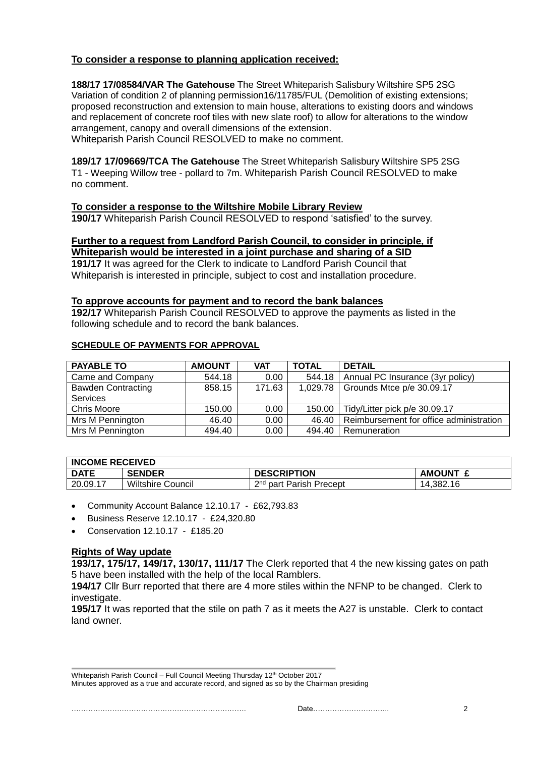# **To consider a response to planning application received:**

**188/17 17/08584/VAR The Gatehouse** The Street Whiteparish Salisbury Wiltshire SP5 2SG Variation of condition 2 of planning permission16/11785/FUL (Demolition of existing extensions; proposed reconstruction and extension to main house, alterations to existing doors and windows and replacement of concrete roof tiles with new slate roof) to allow for alterations to the window arrangement, canopy and overall dimensions of the extension.

Whiteparish Parish Council RESOLVED to make no comment.

**189/17 17/09669/TCA The Gatehouse** The Street Whiteparish Salisbury Wiltshire SP5 2SG T1 - Weeping Willow tree - pollard to 7m. Whiteparish Parish Council RESOLVED to make no comment.

**To consider a response to the Wiltshire Mobile Library Review 190/17** Whiteparish Parish Council RESOLVED to respond 'satisfied' to the survey.

#### **Further to a request from Landford Parish Council, to consider in principle, if Whiteparish would be interested in a joint purchase and sharing of a SID**

**191/17** It was agreed for the Clerk to indicate to Landford Parish Council that Whiteparish is interested in principle, subject to cost and installation procedure.

### **To approve accounts for payment and to record the bank balances**

**192/17** Whiteparish Parish Council RESOLVED to approve the payments as listed in the following schedule and to record the bank balances.

### **SCHEDULE OF PAYMENTS FOR APPROVAL**

| <b>PAYABLE TO</b>         | <b>AMOUNT</b> | <b>VAT</b>        | <b>TOTAL</b> | <b>DETAIL</b>                           |
|---------------------------|---------------|-------------------|--------------|-----------------------------------------|
| Came and Company          | 544.18        | 0.00              | 544.18       | Annual PC Insurance (3yr policy)        |
| <b>Bawden Contracting</b> | 858.15        | 171.63            | 1,029.78     | Grounds Mtce p/e 30.09.17               |
| <b>Services</b>           |               |                   |              |                                         |
| Chris Moore               | 150.00        | 0.00              | 150.00       | Tidy/Litter pick p/e 30.09.17           |
| Mrs M Pennington          | 46.40         | 0.00 <sub>1</sub> | 46.40        | Reimbursement for office administration |
| Mrs M Pennington          | 494.40        | 0.00              | 494.40       | Remuneration                            |

### **INCOME RECEIVED**

| <b>DATE</b> | <b>SENDER</b>         | <b>DESCRIPTION</b>                  | <b>AMOUNT</b> |  |  |  |
|-------------|-----------------------|-------------------------------------|---------------|--|--|--|
| 20.09.17    | Wiltshire<br>⊦Council | 2 <sup>nd</sup> part Parish Precept | 14.382.16     |  |  |  |

Community Account Balance 12.10.17 - £62,793.83

- Business Reserve 12.10.17 £24,320.80
- Conservation 12.10.17 £185.20

### **Rights of Way update**

**193/17, 175/17, 149/17, 130/17, 111/17** The Clerk reported that 4 the new kissing gates on path 5 have been installed with the help of the local Ramblers.

**194/17** Cllr Burr reported that there are 4 more stiles within the NFNP to be changed. Clerk to investigate.

**195/17** It was reported that the stile on path 7 as it meets the A27 is unstable. Clerk to contact land owner.

Whiteparish Parish Council – Full Council Meeting Thursday 12<sup>th</sup> October 2017

Minutes approved as a true and accurate record, and signed as so by the Chairman presiding